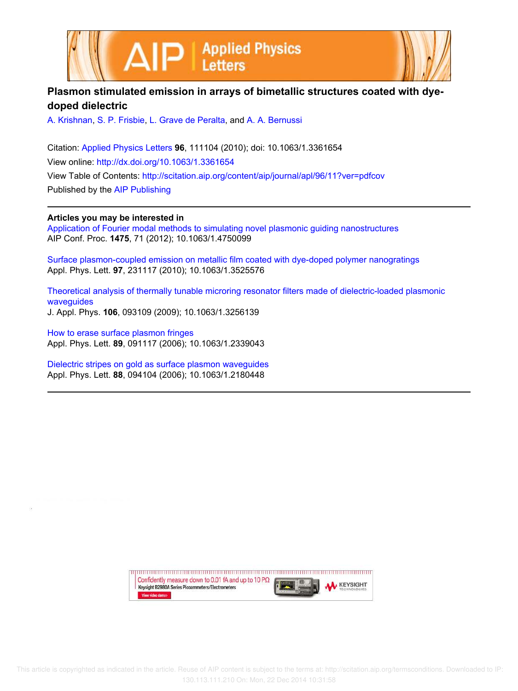



## **Plasmon stimulated emission in arrays of bimetallic structures coated with dyedoped dielectric**

A. Krishnan, S. P. Frisbie, L. Grave de Peralta, and A. A. Bernussi

Citation: Applied Physics Letters **96**, 111104 (2010); doi: 10.1063/1.3361654 View online: http://dx.doi.org/10.1063/1.3361654 View Table of Contents: http://scitation.aip.org/content/aip/journal/apl/96/11?ver=pdfcov Published by the AIP Publishing

**Articles you may be interested in**

Application of Fourier modal methods to simulating novel plasmonic guiding nanostructures AIP Conf. Proc. **1475**, 71 (2012); 10.1063/1.4750099

Surface plasmon-coupled emission on metallic film coated with dye-doped polymer nanogratings Appl. Phys. Lett. **97**, 231117 (2010); 10.1063/1.3525576

Theoretical analysis of thermally tunable microring resonator filters made of dielectric-loaded plasmonic waveguides J. Appl. Phys. **106**, 093109 (2009); 10.1063/1.3256139

How to erase surface plasmon fringes Appl. Phys. Lett. **89**, 091117 (2006); 10.1063/1.2339043

Dielectric stripes on gold as surface plasmon waveguides Appl. Phys. Lett. **88**, 094104 (2006); 10.1063/1.2180448

> Confidently measure down to 0.01 fA and up to 10 P $\Omega$ **KEYSIGHT** Keysight B2980A Series Picoammeters/Electrometers View video demo>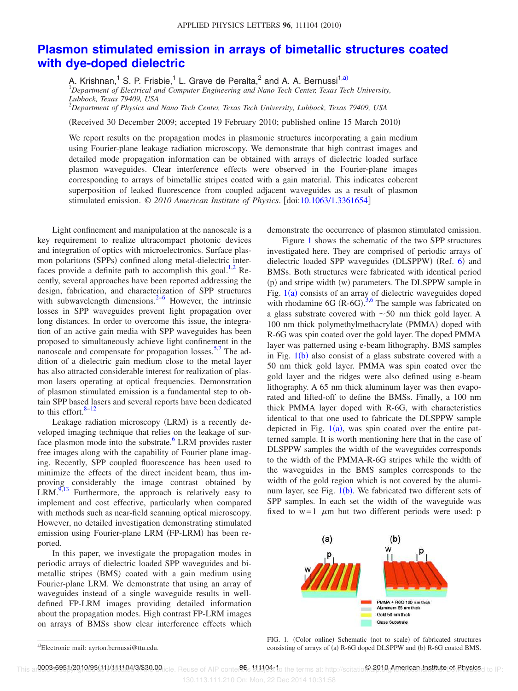## **Plasmon stimulated emission in arrays of bimetallic structures coated with dye-doped dielectric**

A. Krishnan,<sup>1</sup> S. P. Frisbie,<sup>1</sup> L. Grave de Peralta,<sup>2</sup> and A. A. Bernussi<sup>1,a)</sup> <sup>1</sup>*Department of Electrical and Computer Engineering and Nano Tech Center, Texas Tech University, Lubbock, Texas 79409, USA*

<sup>2</sup>*Department of Physics and Nano Tech Center, Texas Tech University, Lubbock, Texas 79409, USA*

(Received 30 December 2009; accepted 19 February 2010; published online 15 March 2010)

We report results on the propagation modes in plasmonic structures incorporating a gain medium using Fourier-plane leakage radiation microscopy. We demonstrate that high contrast images and detailed mode propagation information can be obtained with arrays of dielectric loaded surface plasmon waveguides. Clear interference effects were observed in the Fourier-plane images corresponding to arrays of bimetallic stripes coated with a gain material. This indicates coherent superposition of leaked fluorescence from coupled adjacent waveguides as a result of plasmon stimulated emission. © 2010 American Institute of Physics. [doi:10.1063/1.3361654]

Light confinement and manipulation at the nanoscale is a key requirement to realize ultracompact photonic devices and integration of optics with microelectronics. Surface plasmon polaritons (SPPs) confined along metal-dielectric interfaces provide a definite path to accomplish this goal. $^{1,2}$  Recently, several approaches have been reported addressing the design, fabrication, and characterization of SPP structures with subwavelength dimensions. $2^{-6}$  However, the intrinsic losses in SPP waveguides prevent light propagation over long distances. In order to overcome this issue, the integration of an active gain media with SPP waveguides has been proposed to simultaneously achieve light confinement in the nanoscale and compensate for propagation losses.<sup>5,7</sup> The addition of a dielectric gain medium close to the metal layer has also attracted considerable interest for realization of plasmon lasers operating at optical frequencies. Demonstration of plasmon stimulated emission is a fundamental step to obtain SPP based lasers and several reports have been dedicated to this effort. $8-12$ 

Leakage radiation microscopy (LRM) is a recently developed imaging technique that relies on the leakage of surface plasmon mode into the substrate.<sup>6</sup> LRM provides raster free images along with the capability of Fourier plane imaging. Recently, SPP coupled fluorescence has been used to minimize the effects of the direct incident beam, thus improving considerably the image contrast obtained by  $LRM$ .<sup>9,13</sup> Furthermore, the approach is relatively easy to implement and cost effective, particularly when compared with methods such as near-field scanning optical microscopy. However, no detailed investigation demonstrating stimulated emission using Fourier-plane LRM (FP-LRM) has been reported.

In this paper, we investigate the propagation modes in periodic arrays of dielectric loaded SPP waveguides and bimetallic stripes (BMS) coated with a gain medium using Fourier-plane LRM. We demonstrate that using an array of waveguides instead of a single waveguide results in welldefined FP-LRM images providing detailed information about the propagation modes. High contrast FP-LRM images on arrays of BMSs show clear interference effects which

demonstrate the occurrence of plasmon stimulated emission.

Figure 1 shows the schematic of the two SPP structures investigated here. They are comprised of periodic arrays of dielectric loaded SPP waveguides (DLSPPW) (Ref. 6) and BMSs. Both structures were fabricated with identical period (p) and stripe width (w) parameters. The DLSPPW sample in Fig.  $1(a)$  consists of an array of dielectric waveguides doped with rhodamine 6G (R-6G).<sup>3,6</sup> The sample was fabricated on a glass substrate covered with  $\sim$  50 nm thick gold layer. A 100 nm thick polymethylmethacrylate (PMMA) doped with R-6G was spin coated over the gold layer. The doped PMMA layer was patterned using e-beam lithography. BMS samples in Fig.  $1(b)$  also consist of a glass substrate covered with a 50 nm thick gold layer. PMMA was spin coated over the gold layer and the ridges were also defined using e-beam lithography. A 65 nm thick aluminum layer was then evaporated and lifted-off to define the BMSs. Finally, a 100 nm thick PMMA layer doped with R-6G, with characteristics identical to that one used to fabricate the DLSPPW sample depicted in Fig.  $1(a)$ , was spin coated over the entire patterned sample. It is worth mentioning here that in the case of DLSPPW samples the width of the waveguides corresponds to the width of the PMMA-R-6G stripes while the width of the waveguides in the BMS samples corresponds to the width of the gold region which is not covered by the aluminum layer, see Fig.  $1(b)$ . We fabricated two different sets of SPP samples. In each set the width of the waveguide was fixed to  $w=1$   $\mu$ m but two different periods were used: p



a)Electronic mail: ayrton.bernussi@ttu.edu.

FIG. 1. (Color online) Schematic (not to scale) of fabricated structures consisting of arrays of (a) R-6G doped DLSPPW and (b) R-6G coated BMS.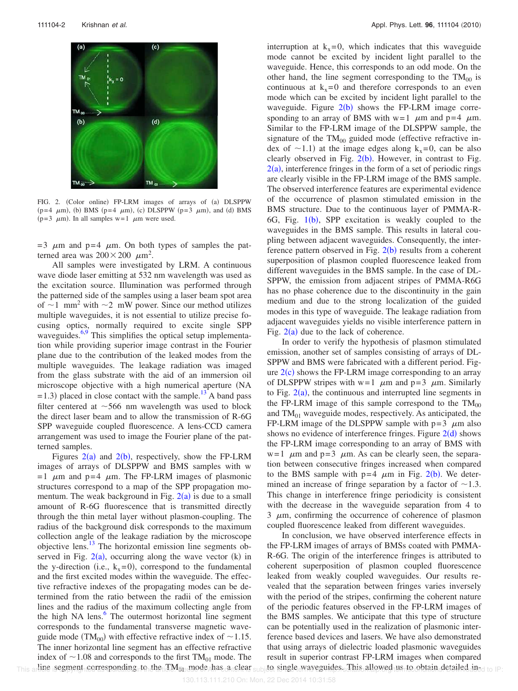

FIG. 2. (Color online) FP-LRM images of arrays of (a) DLSPPW (p=4  $\mu$ m), (b) BMS (p=4  $\mu$ m), (c) DLSPPW (p=3  $\mu$ m), and (d) BMS  $(p=3 \mu m)$ . In all samples w=1  $\mu$ m were used.

 $=$  3  $\mu$ m and p=4  $\mu$ m. On both types of samples the patterned area was  $200 \times 200 \mu m^2$ .

All samples were investigated by LRM. A continuous wave diode laser emitting at 532 nm wavelength was used as the excitation source. Illumination was performed through the patterned side of the samples using a laser beam spot area of  $\sim$ 1 mm<sup>2</sup> with  $\sim$ 2 mW power. Since our method utilizes multiple waveguides, it is not essential to utilize precise focusing optics, normally required to excite single SPP waveguides.<sup>6,9</sup> This simplifies the optical setup implementation while providing superior image contrast in the Fourier plane due to the contribution of the leaked modes from the multiple waveguides. The leakage radiation was imaged from the glass substrate with the aid of an immersion oil microscope objective with a high numerical aperture NA  $=$  1.3) placed in close contact with the sample.<sup>13</sup> A band pass filter centered at  $\sim$  566 nm wavelength was used to block the direct laser beam and to allow the transmission of R-6G SPP waveguide coupled fluorescence. A lens-CCD camera arrangement was used to image the Fourier plane of the patterned samples.

Figures  $2(a)$  and  $2(b)$ , respectively, show the FP-LRM images of arrays of DLSPPW and BMS samples with w  $=1$   $\mu$ m and p=4  $\mu$ m. The FP-LRM images of plasmonic structures correspond to a map of the SPP propagation momentum. The weak background in Fig.  $2(a)$  is due to a small amount of R-6G fluorescence that is transmitted directly through the thin metal layer without plasmon-coupling. The radius of the background disk corresponds to the maximum collection angle of the leakage radiation by the microscope objective lens.<sup>13</sup> The horizontal emission line segments observed in Fig.  $2(a)$ , occurring along the wave vector (k) in the y-direction (i.e.,  $k_x=0$ ), correspond to the fundamental and the first excited modes within the waveguide. The effective refractive indexes of the propagating modes can be determined from the ratio between the radii of the emission lines and the radius of the maximum collecting angle from the high NA lens.<sup>6</sup> The outermost horizontal line segment corresponds to the fundamental transverse magnetic waveguide mode (TM<sub>00</sub>) with effective refractive index of  $\sim$ 1.15. The inner horizontal line segment has an effective refractive index of  $\sim$  1.08 and corresponds to the first TM<sub>01</sub> mode. The This a line segment corresponding to the  $TM_{01}$  mode has a clear This artine isegment corresponding to the TM<sub>0</sub> mode has a clear subject single waveguides. This allowed us to obtain detailed and to IP:

interruption at  $k_x=0$ , which indicates that this waveguide mode cannot be excited by incident light parallel to the waveguide. Hence, this corresponds to an odd mode. On the other hand, the line segment corresponding to the  $TM_{00}$  is continuous at  $k_x=0$  and therefore corresponds to an even mode which can be excited by incident light parallel to the waveguide. Figure  $2(b)$  shows the FP-LRM image corresponding to an array of BMS with  $w=1$   $\mu$ m and p=4  $\mu$ m. Similar to the FP-LRM image of the DLSPPW sample, the signature of the  $TM_{00}$  guided mode (effective refractive index of  $\sim$ 1.1) at the image edges along k<sub>x</sub>=0, can be also clearly observed in Fig.  $2(b)$ . However, in contrast to Fig.  $2(a)$ , interference fringes in the form of a set of periodic rings are clearly visible in the FP-LRM image of the BMS sample. The observed interference features are experimental evidence of the occurrence of plasmon stimulated emission in the BMS structure. Due to the continuous layer of PMMA-R-6G, Fig. 1(b), SPP excitation is weakly coupled to the waveguides in the BMS sample. This results in lateral coupling between adjacent waveguides. Consequently, the interference pattern observed in Fig.  $2(b)$  results from a coherent superposition of plasmon coupled fluorescence leaked from different waveguides in the BMS sample. In the case of DL-SPPW, the emission from adjacent stripes of PMMA-R6G has no phase coherence due to the discontinuity in the gain medium and due to the strong localization of the guided modes in this type of waveguide. The leakage radiation from adjacent waveguides yields no visible interference pattern in Fig.  $2(a)$  due to the lack of coherence.

In order to verify the hypothesis of plasmon stimulated emission, another set of samples consisting of arrays of DL-SPPW and BMS were fabricated with a different period. Figure  $2(c)$  shows the FP-LRM image corresponding to an array of DLSPPW stripes with  $w=1$   $\mu$ m and p=3  $\mu$ m. Similarly to Fig.  $2(a)$ , the continuous and interrupted line segments in the FP-LRM image of this sample correspond to the  $TM_{00}$ and  $TM_{01}$  waveguide modes, respectively. As anticipated, the FP-LRM image of the DLSPPW sample with  $p=3$   $\mu$ m also shows no evidence of interference fringes. Figure  $2(d)$  shows the FP-LRM image corresponding to an array of BMS with  $w=1$   $\mu$ m and  $p=3$   $\mu$ m. As can be clearly seen, the separation between consecutive fringes increased when compared to the BMS sample with  $p=4$   $\mu$ m in Fig. 2(b). We determined an increase of fringe separation by a factor of  $\sim$ 1.3. This change in interference fringe periodicity is consistent with the decrease in the waveguide separation from 4 to  $3 \mu$ m, confirming the occurrence of coherence of plasmon coupled fluorescence leaked from different waveguides.

In conclusion, we have observed interference effects in the FP-LRM images of arrays of BMSs coated with PMMA-R-6G. The origin of the interference fringes is attributed to coherent superposition of plasmon coupled fluorescence leaked from weakly coupled waveguides. Our results revealed that the separation between fringes varies inversely with the period of the stripes, confirming the coherent nature of the periodic features observed in the FP-LRM images of the BMS samples. We anticipate that this type of structure can be potentially used in the realization of plasmonic interference based devices and lasers. We have also demonstrated that using arrays of dielectric loaded plasmonic waveguides result in superior contrast FP-LRM images when compared